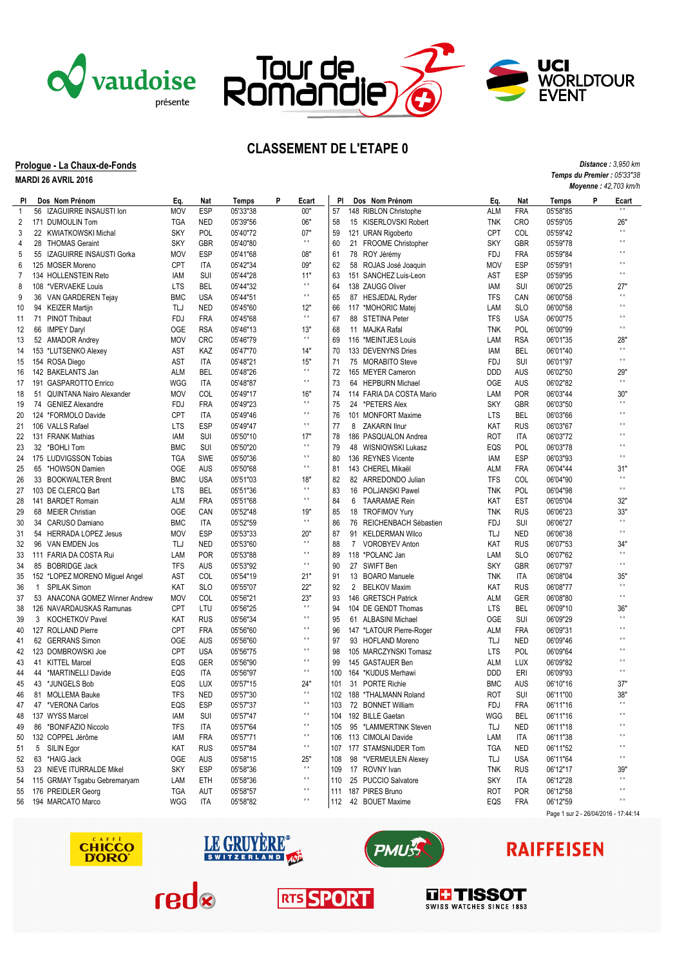



Ŧ

Tour de<br>Romandie

## **Prologue - La Chaux-de-Fonds**

**MARDI 26 AVRIL 2016**

|              | <b>MARDI ZO AVRIL ZUTO</b>     |            |            |          |              |                |     |                |                          |            | Moyenne: 42,703 km/h |          |   |                                      |
|--------------|--------------------------------|------------|------------|----------|--------------|----------------|-----|----------------|--------------------------|------------|----------------------|----------|---|--------------------------------------|
| PI.          | Dos Nom Prénom                 | Eq.        | Nat        | Temps    | $\, {\bf p}$ | Ecart          | PI  |                | Dos Nom Prénom           | Eq.        | Nat                  | Temps    | P | Ecart                                |
| $\mathbf{1}$ | 56 IZAGUIRRE INSAUSTI Ion      | <b>MOV</b> | <b>ESP</b> | 05'33"38 |              | 00"            | 57  |                | 148 RIBLON Christophe    | <b>ALM</b> | <b>FRA</b>           | 05'58"85 |   | $\mathbf{H}$                         |
| 2            | 171 DUMOULIN Tom               | <b>TGA</b> | <b>NED</b> | 05'39"56 |              | 06"            | 58  |                | 15 KISERLOVSKI Robert    | <b>TNK</b> | <b>CRO</b>           | 05'59"05 |   | 26"                                  |
| 3            | 22 KWIATKOWSKI Michal          | <b>SKY</b> | POL        | 05'40"72 |              | 07"            | 59  |                | 121 URAN Rigoberto       | <b>CPT</b> | <b>COL</b>           | 05'59"42 |   | $\mathbf{H}$                         |
| 4            | 28 THOMAS Geraint              | <b>SKY</b> | <b>GBR</b> | 05'40"80 |              | $\pm$          | 60  |                | 21 FROOME Christopher    | <b>SKY</b> | GBR                  | 05'59"78 |   | $\blacksquare$                       |
| 5            | 55 IZAGUIRRE INSAUSTI Gorka    | <b>MOV</b> | <b>ESP</b> | 05'41"68 |              | 08"            | 61  |                | 78 ROY Jérémy            | <b>FDJ</b> | <b>FRA</b>           | 05'59"84 |   | $\blacksquare$                       |
| 6            | 125 MOSER Moreno               | <b>CPT</b> | ITA        | 05'42"34 |              | 09"            | 62  |                | 58 ROJAS José Joaquin    | <b>MOV</b> | <b>ESP</b>           | 05'59"91 |   | $\blacksquare$                       |
| 7            | 134 HOLLENSTEIN Reto           | IAM        | <b>SUI</b> | 05'44"28 |              | 11"            | 63  |                | 151 SANCHEZ Luis-Leon    | AST        | <b>ESP</b>           | 05'59"95 |   | $\mathbf{H}$                         |
| 8            | 108 *VERVAEKE Louis            | LTS        | <b>BEL</b> | 05'44"32 |              | $\mathbf{r}$ . | 64  |                | 138 ZAUGG Oliver         | IAM        | SUI                  | 06'00"25 |   | 27"                                  |
| 9            | 36 VAN GARDEREN Tejay          | <b>BMC</b> | <b>USA</b> | 05'44"51 |              | $\pm$          | 65  |                | 87 HESJEDAL Ryder        | <b>TFS</b> | CAN                  | 06'00"58 |   | $\mathbf{r}$                         |
| 10           | 94 KEIZER Martijn              | TLJ        | <b>NED</b> | 05'45"60 |              | 12"            | 66  |                | 117 *MOHORIC Matej       | LAM        | <b>SLO</b>           | 06'00"58 |   | $\blacksquare$                       |
| 11           | 71 PINOT Thibaut               | FDJ        | <b>FRA</b> | 05'45"68 |              | $\pm$ 1.       | 67  |                | 88 STETINA Peter         | <b>TFS</b> | <b>USA</b>           | 06'00"75 |   | $\blacksquare$                       |
| 12           | 66 IMPEY Daryl                 | <b>OGE</b> | <b>RSA</b> | 05'46"13 |              | 13"            | 68  |                | 11 MAJKA Rafal           | <b>TNK</b> | POL                  | 06'00"99 |   | $\mathbf{H}$                         |
| 13           | 52 AMADOR Andrey               | <b>MOV</b> | <b>CRC</b> | 05'46"79 |              | $\pm$          | 69  |                | 116 *MEINTJES Louis      | LAM        | <b>RSA</b>           | 06'01"35 |   | 28"                                  |
| 14           | 153 *LUTSENKO Alexey           | AST        | KAZ        | 05'47"70 |              | 14"            | 70  |                | 133 DEVENYNS Dries       | IAM        | <b>BEL</b>           | 06'01"40 |   | $\mathbf{r}$                         |
| 15           | 154 ROSA Diego                 | AST        | ITA        | 05'48"21 |              | 15"            | 71  |                | 75 MORABITO Steve        | FDJ        | SUI                  | 06'01"97 |   | $\mathbf{H}$                         |
| 16           | 142 BAKELANTS Jan              | <b>ALM</b> | <b>BEL</b> | 05'48"26 |              | $\mathbf{r}$ . | 72  |                | 165 MEYER Cameron        | <b>DDD</b> | AUS                  | 06'02"50 |   | 29"                                  |
| 17           | 191 GASPAROTTO Enrico          | <b>WGG</b> | <b>ITA</b> | 05'48"87 |              | $\mathbf{H}$   | 73  |                | 64 HEPBURN Michael       | <b>OGE</b> | <b>AUS</b>           | 06'02"82 |   | $\mathbf{H}$                         |
| 18           | 51 QUINTANA Nairo Alexander    | <b>MOV</b> | <b>COL</b> | 05'49"17 |              | 16"            | 74  |                | 114 FARIA DA COSTA Mario | LAM        | <b>POR</b>           | 06'03"44 |   | 30'                                  |
| 19           | 74 GENIEZ Alexandre            | FDJ        | <b>FRA</b> | 05'49"23 |              | $\pm$          | 75  |                | 24 *PETERS Alex          | <b>SKY</b> | <b>GBR</b>           | 06'03"50 |   | $\mathbf{H}$                         |
| 20           | 124 *FORMOLO Davide            | <b>CPT</b> | ITA        | 05'49"46 |              | $\pm$ 1.       | 76  |                | 101 MONFORT Maxime       | <b>LTS</b> | BEL                  | 06'03"66 |   | $\blacksquare$                       |
| 21           | 106 VALLS Rafael               | LTS        | <b>ESP</b> | 05'49"47 |              | $\mathbf{r}$ . | 77  | 8              | ZAKARIN Ilnur            | KAT        | <b>RUS</b>           | 06'03"67 |   | $\blacksquare$                       |
| 22           | 131 FRANK Mathias              | <b>IAM</b> | <b>SUI</b> | 05'50"10 |              | 17"            | 78  |                | 186 PASQUALON Andrea     | <b>ROT</b> | <b>ITA</b>           | 06'03"72 |   | $\blacksquare$                       |
| 23           | 32 *BOHLI Tom                  | <b>BMC</b> | SUI        | 05'50"20 |              | $\pm$ 1        | 79  |                | 48 WISNIOWSKI Lukasz     | EQS        | POL                  | 06'03"78 |   | $\blacksquare$                       |
| 24           | 175 LUDVIGSSON Tobias          | <b>TGA</b> | <b>SWE</b> | 05'50"36 |              | $\pm$ 1        | 80  |                | 136 REYNES Vicente       | IAM        | <b>ESP</b>           | 06'03"93 |   | $\mathbf{H}$                         |
| 25           | 65 *HOWSON Damien              | OGE        | AUS        | 05'50"68 |              | $\mathbf{r}$ . | 81  |                | 143 CHEREL Mikaël        | <b>ALM</b> | <b>FRA</b>           | 06'04"44 |   | 31"                                  |
| 26           | 33 BOOKWALTER Brent            | <b>BMC</b> | <b>USA</b> | 05'51"03 |              | 18"            | 82  |                | 82 ARREDONDO Julian      | <b>TFS</b> | COL                  | 06'04"90 |   | $\blacksquare$                       |
| 27           | 103 DE CLERCQ Bart             | <b>LTS</b> | <b>BEL</b> | 05'51"36 |              | $\mathbf{r}$   | 83  |                | 16 POLJANSKI Pawel       | <b>TNK</b> | POL                  | 06'04"98 |   | $\blacksquare$                       |
| 28           | 141 BARDET Romain              | ALM        | FRA        | 05'51"68 |              | $\pm$          | 84  | 6              | TAARAMAE Rein            | KAT        | <b>EST</b>           | 06'05"04 |   | 32"                                  |
| 29           | 68 MEIER Christian             | <b>OGE</b> | CAN        | 05'52"48 |              | 19"            | 85  |                | 18 TROFIMOV Yurv         | <b>TNK</b> | <b>RUS</b>           | 06'06"23 |   | 33"                                  |
| 30           | 34 CARUSO Damiano              | <b>BMC</b> | <b>ITA</b> | 05'52"59 |              | $\mathbf{r}$ . | 86  |                | 76 REICHENBACH Sébastien | <b>FDJ</b> | SUI                  | 06'06"27 |   | $\blacksquare$                       |
| 31           | 54 HERRADA LOPEZ Jesus         | <b>MOV</b> | <b>ESP</b> | 05'53"33 |              | 20"            | 87  |                | 91 KELDERMAN Wilco       | TLJ        | <b>NED</b>           | 06'06"38 |   | $\mathbf{H}$                         |
| 32           | 96 VAN EMDEN Jos               | TLJ        | <b>NED</b> | 05'53"60 |              | $\pm$          | 88  | $\overline{7}$ | <b>VOROBYEV Anton</b>    | KAT        | <b>RUS</b>           | 06'07"53 |   | 34"                                  |
| 33           | 111 FARIA DA COSTA Rui         | LAM        | <b>POR</b> | 05'53"88 |              | $\mathbf{L}$   | 89  |                | 118 *POLANC Jan          | LAM        | <b>SLO</b>           | 06'07"62 |   | $\mathbf{H}$                         |
| 34           | 85 BOBRIDGE Jack               | <b>TFS</b> | AUS        | 05'53"92 |              | $\mathbf{H}$   | 90  |                | 27 SWIFT Ben             | <b>SKY</b> | <b>GBR</b>           | 06'07"97 |   | $\mathbf{H}$                         |
| 35           | 152 *LOPEZ MORENO Miguel Angel | AST        | <b>COL</b> | 05'54"19 |              | 21"            | 91  |                | 13 BOARO Manuele         | <b>TNK</b> | <b>ITA</b>           | 06'08"04 |   | 35"                                  |
| 36           | 1 SPILAK Simon                 | KAT        | <b>SLO</b> | 05'55"07 |              | 22"            | 92  |                | 2 BELKOV Maxim           | <b>KAT</b> | <b>RUS</b>           | 06'08"77 |   | $\mathbf{H}$                         |
| 37           | 53 ANACONA GOMEZ Winner Andrew | <b>MOV</b> | <b>COL</b> | 05'56"21 |              | 23"            | 93  |                | 146 GRETSCH Patrick      | <b>ALM</b> | GER                  | 06'08"80 |   | $\mathbf{r}$                         |
| 38           | 126 NAVARDAUSKAS Ramunas       | <b>CPT</b> | LTU        | 05'56"25 |              | $\pm$          | 94  |                | 104 DE GENDT Thomas      | <b>LTS</b> | BEL                  | 06'09"10 |   | 36'                                  |
| 39           | 3 KOCHETKOV Pavel              | KAT        | <b>RUS</b> | 05'56"34 |              | $\pm$ 1        | 95  |                | 61 ALBASINI Michael      | <b>OGE</b> | <b>SUI</b>           | 06'09"29 |   | $\blacksquare$                       |
| 40           | 127 ROLLAND Pierre             | <b>CPT</b> | <b>FRA</b> | 05'56"60 |              | $\blacksquare$ | 96  |                | 147 *LATOUR Pierre-Roger | <b>ALM</b> | <b>FRA</b>           | 06'09"31 |   | $\blacksquare$                       |
| 41           | 62 GERRANS Simon               | <b>OGE</b> | AUS        | 05'56"60 |              | $\mathbf{r}$   | 97  |                | 93 HOFLAND Moreno        | TLJ        | <b>NED</b>           | 06'09"46 |   | $\blacksquare$                       |
| 42           | 123 DOMBROWSKI Joe             | <b>CPT</b> | <b>USA</b> | 05'56"75 |              | $\mathbf{r}$   | 98  |                | 105 MARCZYNSKI Tomasz    | <b>LTS</b> | <b>POL</b>           | 06'09"64 |   | $\blacksquare$                       |
| 43           | 41 KITTEL Marcel               | EQS        | GER        | 05'56"90 |              | н.             | 99  |                | 145 GASTAUER Ben         | <b>ALM</b> | LUX                  | 06'09"82 |   | $\blacksquare$                       |
| 44           | 44 *MARTINELLI Davide          | EQS        | <b>ITA</b> | 05'56"97 |              | $\mathbf{H}$   | 100 |                | 164 *KUDUS Merhawi       | <b>DDD</b> | ERI                  | 06'09"93 |   | $\blacksquare$                       |
| 45           | 43 *JUNGELS Bob                | EQS        | <b>LUX</b> | 05'57"15 |              | 24"            | 101 |                | 31 PORTE Richie          | <b>BMC</b> | AUS                  | 06'10"16 |   | 37"                                  |
|              | 46 81 MOLLEMA Bauke            | <b>TFS</b> | <b>NED</b> | 05'57"30 |              | $\mathbf{H}$   |     |                | 102 188 *THALMANN Roland | ROT        | SUI                  | 06'11"00 |   | 38"                                  |
| 47           | 47 *VERONA Carlos              | EQS        | ESP        | 05'57"37 |              | $\mathbf{r}$   |     |                | 103 72 BONNET William    | FDJ        | <b>FRA</b>           | 06'11"16 |   | $\blacksquare$                       |
| 48           | 137 WYSS Marcel                | IAM        | SUI        | 05'57"47 |              | $\mathbf{r}$   | 104 |                | 192 BILLE Gaetan         | WGG        | <b>BEL</b>           | 06'11"16 |   | $\blacksquare$                       |
| 49           | 86 *BONIFAZIO Niccolo          | <b>TFS</b> | ITA        | 05'57"64 |              | $\mathbf{r}$ . | 105 |                | 95 *LAMMERTINK Steven    | TLJ        | <b>NED</b>           | 06'11"18 |   | $\blacksquare$                       |
| 50           | 132 COPPEL Jérôme              | IAM        | <b>FRA</b> | 05'57"71 |              | $\mathbf{H}$   | 106 |                | 113 CIMOLAI Davide       | LAM        | ITA                  | 06'11"38 |   | н                                    |
| 51           | 5 SILIN Egor                   | KAT        | <b>RUS</b> | 05'57"84 |              | $\mathbf{r}$ . | 107 |                | 177 STAMSNIJDER Tom      | TGA        | <b>NED</b>           | 06'11"52 |   | н                                    |
| 52           | 63 *HAIG Jack                  | <b>OGE</b> | AUS        | 05'58"15 |              | 25"            | 108 |                | 98 *VERMEULEN Alexey     | TLJ        | <b>USA</b>           | 06'11"64 |   | $\mathbf{H}$                         |
| 53           | 23 NIEVE ITURRALDE Mikel       | <b>SKY</b> | ESP        | 05'58"36 |              | $\pm$          | 109 |                | 17 ROVNY Ivan            | <b>TNK</b> | <b>RUS</b>           | 06'12"17 |   | 39"                                  |
| 54           | 115 GRMAY Tsgabu Gebremaryam   | LAM        | ETH        | 05'58"36 |              | $\pm$          | 110 |                | 25 PUCCIO Salvatore      | <b>SKY</b> | ITA                  | 06'12"28 |   | $\mathbf{H}$                         |
| 55           | 176 PREIDLER Georg             | TGA        | AUT        | 05'58"57 |              | $\mathbf{r}$ . | 111 |                | 187 PIRES Bruno          | ROT        | <b>POR</b>           | 06'12"58 |   | $\mathbf{H}$                         |
|              | 56 194 MARCATO Marco           | WGG        | ITA        | 05'58"82 |              | $\mathbf{H}$   | 112 |                | 42 BOUET Maxime          | EQS        | <b>FRA</b>           | 06'12"59 |   | п                                    |
|              |                                |            |            |          |              |                |     |                |                          |            |                      |          |   | Page 1 sur 2 - 26/04/2016 - 17:44:14 |

**RTS SPORT** 





sban



## **RAIFFEISEN**

*Distance : 3,950 km Temps du Premier : 05'33"38*

**UCI<br>WORLDTOUR<br>EVENT**